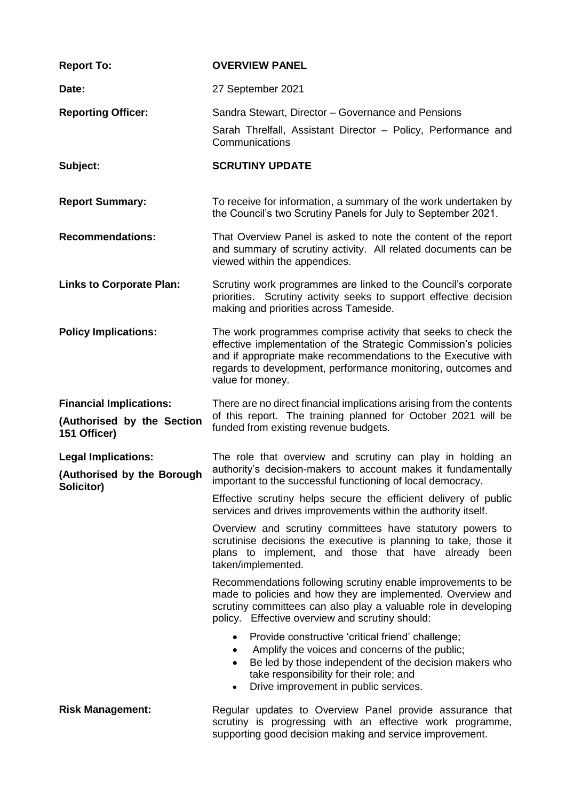| <b>Report To:</b>                                        | <b>OVERVIEW PANEL</b>                                                                                                                                                                                                                                                                 |  |  |
|----------------------------------------------------------|---------------------------------------------------------------------------------------------------------------------------------------------------------------------------------------------------------------------------------------------------------------------------------------|--|--|
| Date:                                                    | 27 September 2021                                                                                                                                                                                                                                                                     |  |  |
| <b>Reporting Officer:</b>                                | Sandra Stewart, Director – Governance and Pensions                                                                                                                                                                                                                                    |  |  |
|                                                          | Sarah Threlfall, Assistant Director - Policy, Performance and<br>Communications                                                                                                                                                                                                       |  |  |
| Subject:                                                 | <b>SCRUTINY UPDATE</b>                                                                                                                                                                                                                                                                |  |  |
| <b>Report Summary:</b>                                   | To receive for information, a summary of the work undertaken by<br>the Council's two Scrutiny Panels for July to September 2021.                                                                                                                                                      |  |  |
| <b>Recommendations:</b>                                  | That Overview Panel is asked to note the content of the report<br>and summary of scrutiny activity. All related documents can be<br>viewed within the appendices.                                                                                                                     |  |  |
| <b>Links to Corporate Plan:</b>                          | Scrutiny work programmes are linked to the Council's corporate<br>priorities. Scrutiny activity seeks to support effective decision<br>making and priorities across Tameside.                                                                                                         |  |  |
| <b>Policy Implications:</b>                              | The work programmes comprise activity that seeks to check the<br>effective implementation of the Strategic Commission's policies<br>and if appropriate make recommendations to the Executive with<br>regards to development, performance monitoring, outcomes and<br>value for money. |  |  |
| <b>Financial Implications:</b>                           | There are no direct financial implications arising from the contents<br>of this report. The training planned for October 2021 will be<br>funded from existing revenue budgets.                                                                                                        |  |  |
| (Authorised by the Section<br>151 Officer)               |                                                                                                                                                                                                                                                                                       |  |  |
| <b>Legal Implications:</b><br>(Authorised by the Borough | The role that overview and scrutiny can play in holding an<br>authority's decision-makers to account makes it fundamentally<br>important to the successful functioning of local democracy.                                                                                            |  |  |
| Solicitor)                                               | Effective scrutiny helps secure the efficient delivery of public<br>services and drives improvements within the authority itself.                                                                                                                                                     |  |  |
|                                                          | Overview and scrutiny committees have statutory powers to<br>scrutinise decisions the executive is planning to take, those it<br>plans to implement, and those that have already been<br>taken/implemented.                                                                           |  |  |
|                                                          | Recommendations following scrutiny enable improvements to be<br>made to policies and how they are implemented. Overview and<br>scrutiny committees can also play a valuable role in developing<br>policy. Effective overview and scrutiny should:                                     |  |  |
|                                                          | Provide constructive 'critical friend' challenge;<br>Amplify the voices and concerns of the public;<br>Be led by those independent of the decision makers who<br>take responsibility for their role; and<br>Drive improvement in public services.<br>$\bullet$                        |  |  |
| <b>Risk Management:</b>                                  | Regular updates to Overview Panel provide assurance that<br>scrutiny is progressing with an effective work programme,<br>supporting good decision making and service improvement.                                                                                                     |  |  |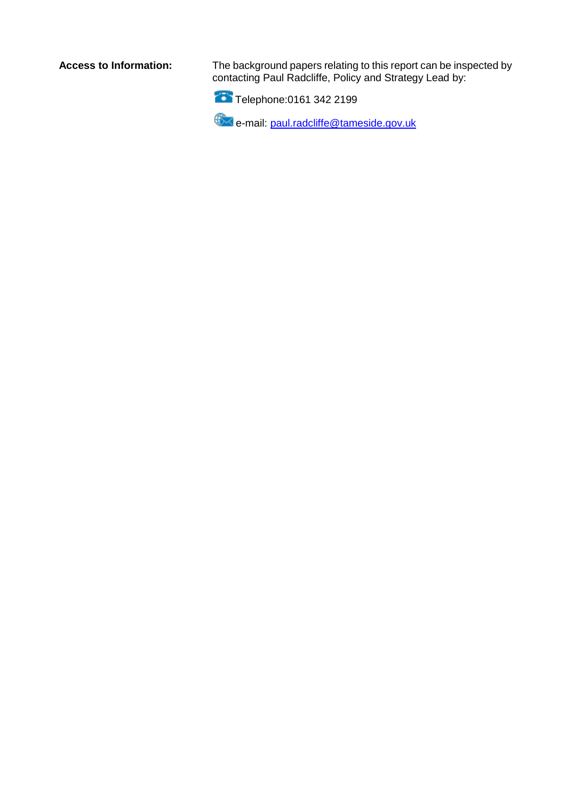**Access to Information:** The background papers relating to this report can be inspected by contacting Paul Radcliffe, Policy and Strategy Lead by:



e-mail: [paul.radcliffe@tameside.gov.uk](mailto:paul.radcliffe@tameside.gov.uk)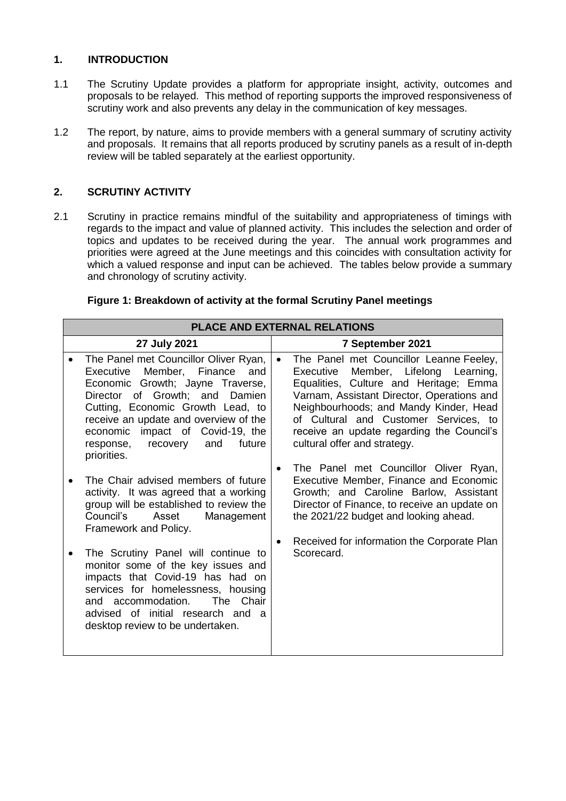# **1. INTRODUCTION**

- 1.1 The Scrutiny Update provides a platform for appropriate insight, activity, outcomes and proposals to be relayed. This method of reporting supports the improved responsiveness of scrutiny work and also prevents any delay in the communication of key messages.
- 1.2 The report, by nature, aims to provide members with a general summary of scrutiny activity and proposals. It remains that all reports produced by scrutiny panels as a result of in-depth review will be tabled separately at the earliest opportunity.

## **2. SCRUTINY ACTIVITY**

2.1 Scrutiny in practice remains mindful of the suitability and appropriateness of timings with regards to the impact and value of planned activity. This includes the selection and order of topics and updates to be received during the year. The annual work programmes and priorities were agreed at the June meetings and this coincides with consultation activity for which a valued response and input can be achieved. The tables below provide a summary and chronology of scrutiny activity.

| PLACE AND EXTERNAL RELATIONS |                                                                                                                                                                                                                                                                                                                         |                                                                                                                                                                                                                                                                                                                                                         |  |  |  |  |  |
|------------------------------|-------------------------------------------------------------------------------------------------------------------------------------------------------------------------------------------------------------------------------------------------------------------------------------------------------------------------|---------------------------------------------------------------------------------------------------------------------------------------------------------------------------------------------------------------------------------------------------------------------------------------------------------------------------------------------------------|--|--|--|--|--|
|                              | 27 July 2021                                                                                                                                                                                                                                                                                                            | 7 September 2021                                                                                                                                                                                                                                                                                                                                        |  |  |  |  |  |
|                              | The Panel met Councillor Oliver Ryan,<br>Member, Finance<br>Executive<br>and<br>Economic Growth; Jayne Traverse,<br>Director of Growth; and Damien<br>Cutting, Economic Growth Lead, to<br>receive an update and overview of the<br>economic impact of Covid-19, the<br>future<br>response, recovery and<br>priorities. | The Panel met Councillor Leanne Feeley,<br>$\bullet$<br>Executive<br>Member, Lifelong Learning,<br>Equalities, Culture and Heritage; Emma<br>Varnam, Assistant Director, Operations and<br>Neighbourhoods; and Mandy Kinder, Head<br>of Cultural and Customer Services, to<br>receive an update regarding the Council's<br>cultural offer and strategy. |  |  |  |  |  |
|                              | The Chair advised members of future<br>activity. It was agreed that a working<br>group will be established to review the<br>Asset<br>Council's<br>Management<br>Framework and Policy.                                                                                                                                   | The Panel met Councillor Oliver Ryan,<br>$\bullet$<br>Executive Member, Finance and Economic<br>Growth; and Caroline Barlow, Assistant<br>Director of Finance, to receive an update on<br>the 2021/22 budget and looking ahead.                                                                                                                         |  |  |  |  |  |
|                              | The Scrutiny Panel will continue to<br>monitor some of the key issues and<br>impacts that Covid-19 has had on<br>services for homelessness, housing<br>and accommodation.<br>The Chair<br>advised of initial research and<br>- a<br>desktop review to be undertaken.                                                    | Received for information the Corporate Plan<br>$\bullet$<br>Scorecard.                                                                                                                                                                                                                                                                                  |  |  |  |  |  |

#### **Figure 1: Breakdown of activity at the formal Scrutiny Panel meetings**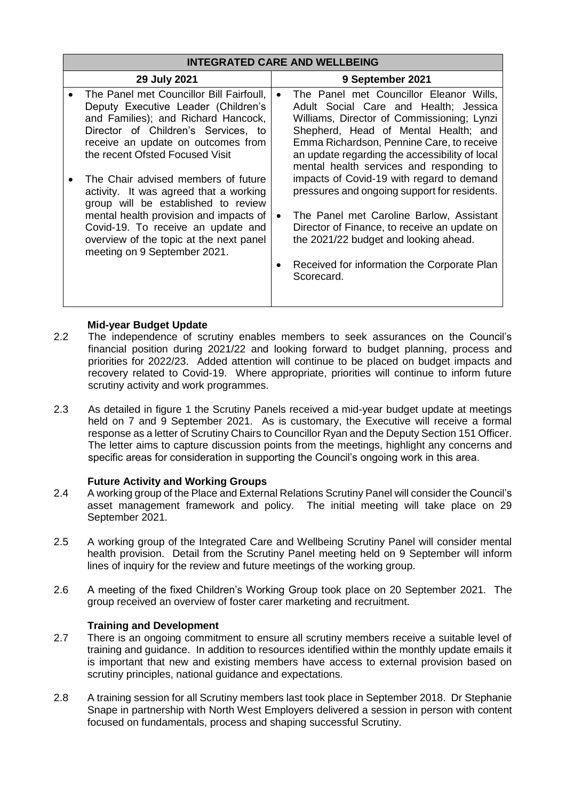|              | <b>INTEGRATED CARE AND WELLBEING</b>                                                                                                                                                                                                                                            |  |                                                                                                                                                                                                                                                                                                                   |  |  |  |
|--------------|---------------------------------------------------------------------------------------------------------------------------------------------------------------------------------------------------------------------------------------------------------------------------------|--|-------------------------------------------------------------------------------------------------------------------------------------------------------------------------------------------------------------------------------------------------------------------------------------------------------------------|--|--|--|
| 29 July 2021 |                                                                                                                                                                                                                                                                                 |  | 9 September 2021                                                                                                                                                                                                                                                                                                  |  |  |  |
|              | The Panel met Councillor Bill Fairfoull,<br>Deputy Executive Leader (Children's<br>and Families); and Richard Hancock,<br>Director of Children's Services, to<br>receive an update on outcomes from<br>the recent Ofsted Focused Visit                                          |  | The Panel met Councillor Eleanor Wills,<br>Adult Social Care and Health; Jessica<br>Williams, Director of Commissioning; Lynzi<br>Shepherd, Head of Mental Health; and<br>Emma Richardson, Pennine Care, to receive<br>an update regarding the accessibility of local<br>mental health services and responding to |  |  |  |
|              | The Chair advised members of future<br>activity. It was agreed that a working<br>group will be established to review<br>mental health provision and impacts of<br>Covid-19. To receive an update and<br>overview of the topic at the next panel<br>meeting on 9 September 2021. |  | impacts of Covid-19 with regard to demand<br>pressures and ongoing support for residents.<br>The Panel met Caroline Barlow, Assistant<br>Director of Finance, to receive an update on<br>the 2021/22 budget and looking ahead.<br>Received for information the Corporate Plan<br>Scorecard.                       |  |  |  |

## **Mid-year Budget Update**

- 2.2 The independence of scrutiny enables members to seek assurances on the Council's financial position during 2021/22 and looking forward to budget planning, process and priorities for 2022/23. Added attention will continue to be placed on budget impacts and recovery related to Covid-19. Where appropriate, priorities will continue to inform future scrutiny activity and work programmes.
- 2.3 As detailed in figure 1 the Scrutiny Panels received a mid-year budget update at meetings held on 7 and 9 September 2021. As is customary, the Executive will receive a formal response as a letter of Scrutiny Chairs to Councillor Ryan and the Deputy Section 151 Officer. The letter aims to capture discussion points from the meetings, highlight any concerns and specific areas for consideration in supporting the Council's ongoing work in this area.

#### **Future Activity and Working Groups**

- 2.4 A working group of the Place and External Relations Scrutiny Panel will consider the Council's asset management framework and policy. The initial meeting will take place on 29 September 2021.
- 2.5 A working group of the Integrated Care and Wellbeing Scrutiny Panel will consider mental health provision. Detail from the Scrutiny Panel meeting held on 9 September will inform lines of inquiry for the review and future meetings of the working group.
- 2.6 A meeting of the fixed Children's Working Group took place on 20 September 2021. The group received an overview of foster carer marketing and recruitment.

#### **Training and Development**

- 2.7 There is an ongoing commitment to ensure all scrutiny members receive a suitable level of training and guidance. In addition to resources identified within the monthly update emails it is important that new and existing members have access to external provision based on scrutiny principles, national guidance and expectations.
- 2.8 A training session for all Scrutiny members last took place in September 2018. Dr Stephanie Snape in partnership with North West Employers delivered a session in person with content focused on fundamentals, process and shaping successful Scrutiny.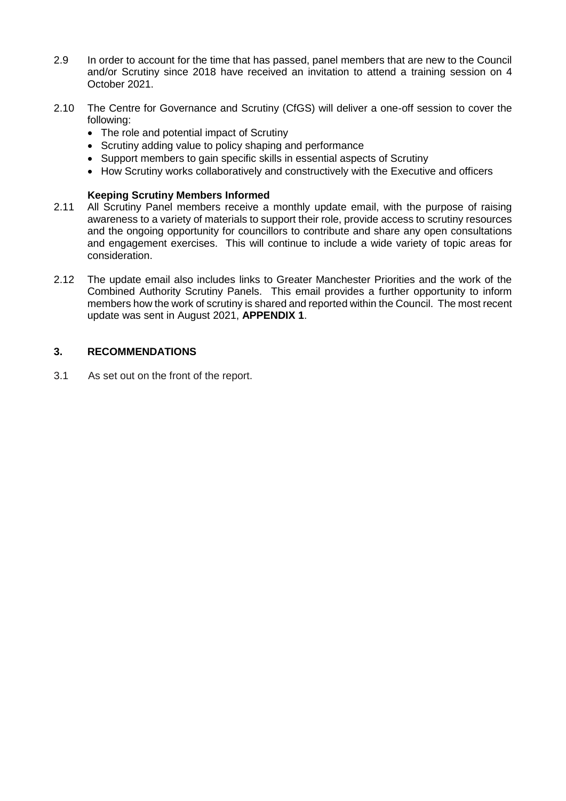- 2.9 In order to account for the time that has passed, panel members that are new to the Council and/or Scrutiny since 2018 have received an invitation to attend a training session on 4 October 2021.
- 2.10 The Centre for Governance and Scrutiny (CfGS) will deliver a one-off session to cover the following:
	- The role and potential impact of Scrutiny
	- Scrutiny adding value to policy shaping and performance
	- Support members to gain specific skills in essential aspects of Scrutiny
	- How Scrutiny works collaboratively and constructively with the Executive and officers

#### **Keeping Scrutiny Members Informed**

- 2.11 All Scrutiny Panel members receive a monthly update email, with the purpose of raising awareness to a variety of materials to support their role, provide access to scrutiny resources and the ongoing opportunity for councillors to contribute and share any open consultations and engagement exercises. This will continue to include a wide variety of topic areas for consideration.
- 2.12 The update email also includes links to Greater Manchester Priorities and the work of the Combined Authority Scrutiny Panels. This email provides a further opportunity to inform members how the work of scrutiny is shared and reported within the Council. The most recent update was sent in August 2021, **APPENDIX 1**.

### **3. RECOMMENDATIONS**

3.1 As set out on the front of the report.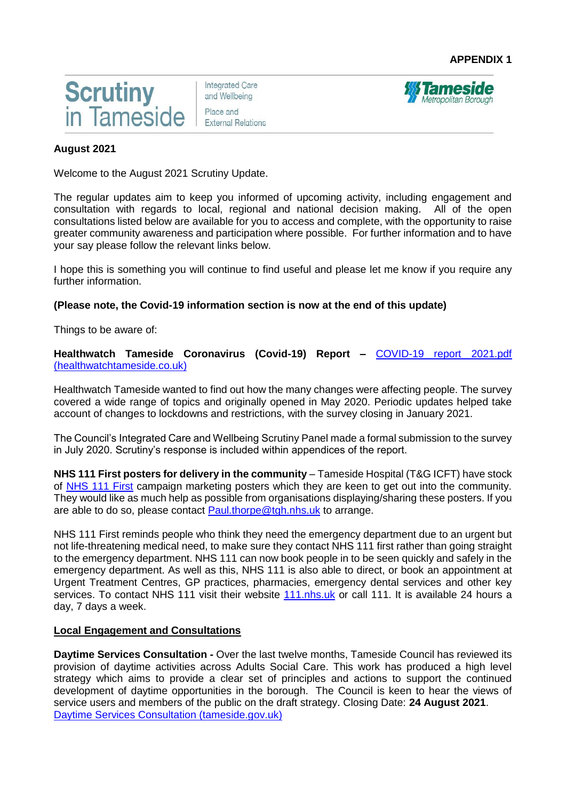

**Integrated Care** and Wellbeing Place and **External Relations** 



## **August 2021**

Welcome to the August 2021 Scrutiny Update.

The regular updates aim to keep you informed of upcoming activity, including engagement and consultation with regards to local, regional and national decision making. All of the open consultations listed below are available for you to access and complete, with the opportunity to raise greater community awareness and participation where possible. For further information and to have your say please follow the relevant links below.

I hope this is something you will continue to find useful and please let me know if you require any further information.

#### **(Please note, the Covid-19 information section is now at the end of this update)**

Things to be aware of:

#### **Healthwatch Tameside Coronavirus (Covid-19) Report –** [COVID-19 report 2021.pdf](https://www.healthwatchtameside.co.uk/sites/healthwatchtameside.co.uk/files/imageblock/COVID-19%20report%202021.pdf)  [\(healthwatchtameside.co.uk\)](https://www.healthwatchtameside.co.uk/sites/healthwatchtameside.co.uk/files/imageblock/COVID-19%20report%202021.pdf)

Healthwatch Tameside wanted to find out how the many changes were affecting people. The survey covered a wide range of topics and originally opened in May 2020. Periodic updates helped take account of changes to lockdowns and restrictions, with the survey closing in January 2021.

The Council's Integrated Care and Wellbeing Scrutiny Panel made a formal submission to the survey in July 2020. Scrutiny's response is included within appendices of the report.

**NHS 111 First posters for delivery in the community** – Tameside Hospital (T&G ICFT) have stock of [NHS 111 First](https://gbr01.safelinks.protection.outlook.com/?url=https%3A%2F%2Feu-west-1.protection.sophos.com%2F%3Fd%3D111.nhs.uk%26u%3DaHR0cHM6Ly8xMTEubmhzLnVrLw%3D%3D%26i%3DNWUwNWM1ZGI4MzJmZGIxNjQzYzY1ODRh%26t%3DdnRZak81R0VVa1FLVDFVR1JWTW1MSXVWSWFlQm9QbW5GOXV5L0ZvN0lJMD0%3D%26h%3D5e1957b3238147f08941a2d3bb3f057f&data=04%7C01%7Cpaul.thorpe%40tgh.nhs.uk%7C3037873cfeea410e04e808d93d30055f%7C5fefafe315cf4238ab5026e5ab7ba5ac%7C0%7C0%7C637608098722300816%7CUnknown%7CTWFpbGZsb3d8eyJWIjoiMC4wLjAwMDAiLCJQIjoiV2luMzIiLCJBTiI6Ik1haWwiLCJXVCI6Mn0%3D%7C1000&sdata=SYd%2Fbw8kr2z%2FPOpXoFfO8CrbuzZXu1zm8zDgwJXr3ZQ%3D&reserved=0) campaign marketing posters which they are keen to get out into the community. They would like as much help as possible from organisations displaying/sharing these posters. If you are able to do so, please contact [Paul.thorpe@tgh.nhs.uk](mailto:Paul.thorpe@tgh.nhs.uk) to arrange.

NHS 111 First reminds people who think they need the emergency department due to an urgent but not life-threatening medical need, to make sure they contact NHS 111 first rather than going straight to the emergency department. NHS 111 can now book people in to be seen quickly and safely in the emergency department. As well as this, NHS 111 is also able to direct, or book an appointment at Urgent Treatment Centres, GP practices, pharmacies, emergency dental services and other key services. To contact NHS 111 visit their website [111.nhs.uk](https://gbr01.safelinks.protection.outlook.com/?url=https%3A%2F%2Feu-west-1.protection.sophos.com%2F%3Fd%3D111.nhs.uk%26u%3DaHR0cHM6Ly8xMTEubmhzLnVrLw%3D%3D%26i%3DNWUwNWM1ZGI4MzJmZGIxNjQzYzY1ODRh%26t%3DdnRZak81R0VVa1FLVDFVR1JWTW1MSXVWSWFlQm9QbW5GOXV5L0ZvN0lJMD0%3D%26h%3D5e1957b3238147f08941a2d3bb3f057f&data=04%7C01%7Cpaul.thorpe%40tgh.nhs.uk%7C3037873cfeea410e04e808d93d30055f%7C5fefafe315cf4238ab5026e5ab7ba5ac%7C0%7C0%7C637608098722310765%7CUnknown%7CTWFpbGZsb3d8eyJWIjoiMC4wLjAwMDAiLCJQIjoiV2luMzIiLCJBTiI6Ik1haWwiLCJXVCI6Mn0%3D%7C1000&sdata=lx7YB60pyu1JlvfGJib35r7YHCNtetJHFEHgyfDV6X8%3D&reserved=0) or call 111. It is available 24 hours a day, 7 days a week.

#### **Local Engagement and Consultations**

**Daytime Services Consultation -** Over the last twelve months, Tameside Council has reviewed its provision of daytime activities across Adults Social Care. This work has produced a high level strategy which aims to provide a clear set of principles and actions to support the continued development of daytime opportunities in the borough. The Council is keen to hear the views of service users and members of the public on the draft strategy. Closing Date: **24 August 2021**. [Daytime Services Consultation \(tameside.gov.uk\)](https://www.tameside.gov.uk/tbc/daytimeservicesconsultation)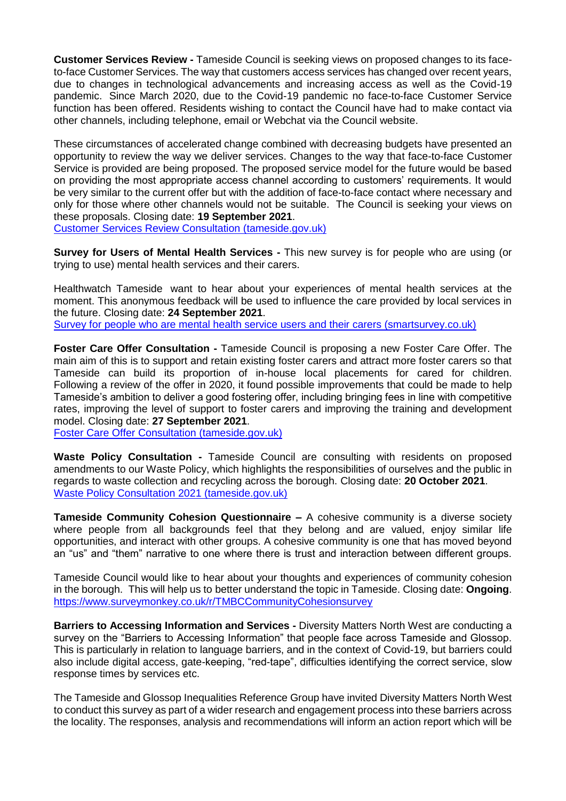**Customer Services Review -** Tameside Council is seeking views on proposed changes to its faceto-face Customer Services. The way that customers access services has changed over recent years, due to changes in technological advancements and increasing access as well as the Covid-19 pandemic. Since March 2020, due to the Covid-19 pandemic no face-to-face Customer Service function has been offered. Residents wishing to contact the Council have had to make contact via other channels, including telephone, email or Webchat via the Council website.

These circumstances of accelerated change combined with decreasing budgets have presented an opportunity to review the way we deliver services. Changes to the way that face-to-face Customer Service is provided are being proposed. The proposed service model for the future would be based on providing the most appropriate access channel according to customers' requirements. It would be very similar to the current offer but with the addition of face-to-face contact where necessary and only for those where other channels would not be suitable. The Council is seeking your views on these proposals. Closing date: **19 September 2021**.

[Customer Services Review Consultation \(tameside.gov.uk\)](https://www.tameside.gov.uk/tbc/customerservicesreviewconsultation)

**Survey for Users of Mental Health Services -** This new survey is for people who are using (or trying to use) mental health services and their carers.

Healthwatch Tameside want to hear about your experiences of mental health services at the moment. This anonymous feedback will be used to influence the care provided by local services in the future. Closing date: **24 September 2021**.

[Survey for people who are mental health service users and their carers \(smartsurvey.co.uk\)](https://www.smartsurvey.co.uk/s/HWTMentalHealth2021/)

**Foster Care Offer Consultation -** Tameside Council is proposing a new Foster Care Offer. The main aim of this is to support and retain existing foster carers and attract more foster carers so that Tameside can build its proportion of in-house local placements for cared for children. Following a review of the offer in 2020, it found possible improvements that could be made to help Tameside's ambition to deliver a good fostering offer, including bringing fees in line with competitive rates, improving the level of support to foster carers and improving the training and development model. Closing date: **27 September 2021**.

[Foster Care Offer Consultation \(tameside.gov.uk\)](https://www.tameside.gov.uk/tbc/fostercareofferconsultation)

**Waste Policy Consultation -** Tameside Council are consulting with residents on proposed amendments to our Waste Policy, which highlights the responsibilities of ourselves and the public in regards to waste collection and recycling across the borough. Closing date: **20 October 2021**. [Waste Policy Consultation 2021 \(tameside.gov.uk\)](https://www.tameside.gov.uk/wastepolicy2021)

**Tameside Community Cohesion Questionnaire –** A cohesive community is a diverse society where people from all backgrounds feel that they belong and are valued, enjoy similar life opportunities, and interact with other groups. A cohesive community is one that has moved beyond an "us" and "them" narrative to one where there is trust and interaction between different groups.

Tameside Council would like to hear about your thoughts and experiences of community cohesion in the borough. This will help us to better understand the topic in Tameside. Closing date: **Ongoing**. <https://www.surveymonkey.co.uk/r/TMBCCommunityCohesionsurvey>

**Barriers to Accessing Information and Services -** Diversity Matters North West are conducting a survey on the "Barriers to Accessing Information" that people face across Tameside and Glossop. This is particularly in relation to language barriers, and in the context of Covid-19, but barriers could also include digital access, gate-keeping, "red-tape", difficulties identifying the correct service, slow response times by services etc.

The Tameside and Glossop Inequalities Reference Group have invited Diversity Matters North West to conduct this survey as part of a wider research and engagement process into these barriers across the locality. The responses, analysis and recommendations will inform an action report which will be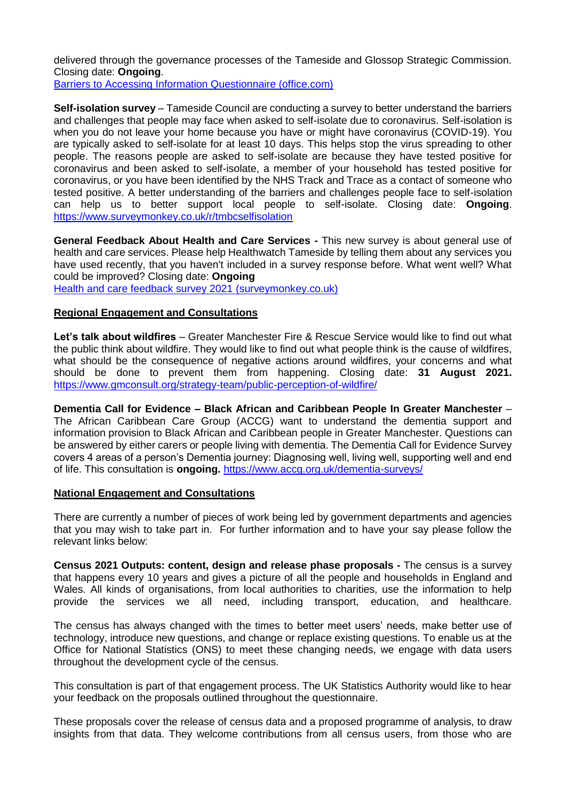delivered through the governance processes of the Tameside and Glossop Strategic Commission. Closing date: **Ongoing**.

[Barriers to Accessing Information Questionnaire \(office.com\)](https://forms.office.com/pages/responsepage.aspx?id=NWSF4YGBkE2b_yKaOPPjCt05wS4ucD5Bgxs4OF0NJnlUQkxIUU5aVUtSWFlRQzVYVlRRTEkzMUhVVi4u)

**Self-isolation survey** – Tameside Council are conducting a survey to better understand the barriers and challenges that people may face when asked to self-isolate due to coronavirus. Self-isolation is when you do not leave your home because you have or might have coronavirus (COVID-19). You are typically asked to self-isolate for at least 10 days. This helps stop the virus spreading to other people. The reasons people are asked to self-isolate are because they have tested positive for coronavirus and been asked to self-isolate, a member of your household has tested positive for coronavirus, or you have been identified by the NHS Track and Trace as a contact of someone who tested positive. A better understanding of the barriers and challenges people face to self-isolation can help us to better support local people to self-isolate. Closing date: **Ongoing**. <https://www.surveymonkey.co.uk/r/tmbcselfisolation>

**General Feedback About Health and Care Services -** This new survey is about general use of health and care services. Please help Healthwatch Tameside by telling them about any services you have used recently, that you haven't included in a survey response before. What went well? What could be improved? Closing date: **Ongoing**

[Health and care feedback survey 2021 \(surveymonkey.co.uk\)](https://www.surveymonkey.co.uk/r/HWTgeneral21)

## **Regional Engagement and Consultations**

**Let's talk about wildfires** – Greater Manchester Fire & Rescue Service would like to find out what the public think about wildfire. They would like to find out what people think is the cause of wildfires, what should be the consequence of negative actions around wildfires, your concerns and what should be done to prevent them from happening. Closing date: **31 August 2021.**  <https://www.gmconsult.org/strategy-team/public-perception-of-wildfire/>

**Dementia Call for Evidence – Black African and Caribbean People In Greater Manchester** – The African Caribbean Care Group (ACCG) want to understand the dementia support and information provision to Black African and Caribbean people in Greater Manchester. Questions can be answered by either carers or people living with dementia. The Dementia Call for Evidence Survey covers 4 areas of a person's Dementia journey: Diagnosing well, living well, supporting well and end of life. This consultation is **ongoing.** <https://www.accg.org.uk/dementia-surveys/>

#### **National Engagement and Consultations**

There are currently a number of pieces of work being led by government departments and agencies that you may wish to take part in. For further information and to have your say please follow the relevant links below:

**Census 2021 Outputs: content, design and release phase proposals -** The census is a survey that happens every 10 years and gives a picture of all the people and households in England and Wales. All kinds of organisations, from local authorities to charities, use the information to help provide the services we all need, including transport, education, and healthcare.

The census has always changed with the times to better meet users' needs, make better use of technology, introduce new questions, and change or replace existing questions. To enable us at the Office for National Statistics (ONS) to meet these changing needs, we engage with data users throughout the development cycle of the census.

This consultation is part of that engagement process. The UK Statistics Authority would like to hear your feedback on the proposals outlined throughout the questionnaire.

These proposals cover the release of census data and a proposed programme of analysis, to draw insights from that data. They welcome contributions from all census users, from those who are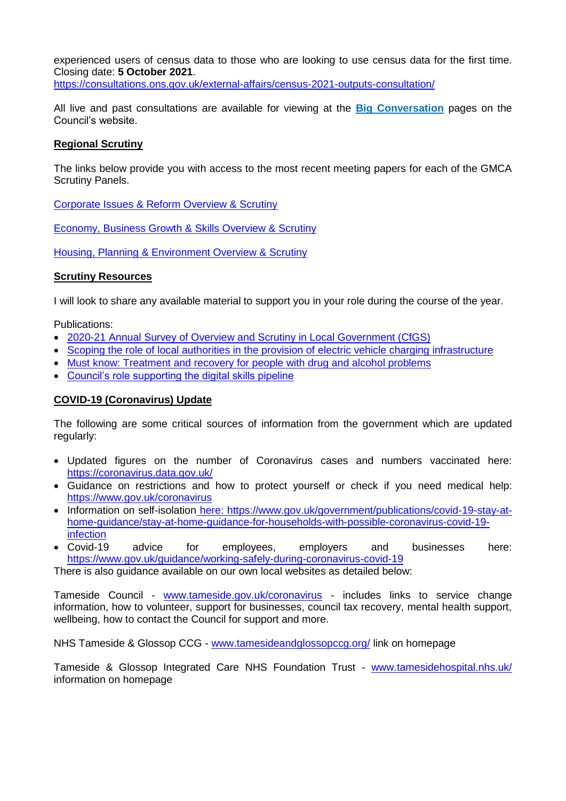experienced users of census data to those who are looking to use census data for the first time. Closing date: **5 October 2021**.

<https://consultations.ons.gov.uk/external-affairs/census-2021-outputs-consultation/>

All live and past consultations are available for viewing at the **[Big Conversation](https://www.tameside.gov.uk/tbc)** pages on the Council's website.

#### **Regional Scrutiny**

The links below provide you with access to the most recent meeting papers for each of the GMCA Scrutiny Panels.

[Corporate Issues & Reform Overview & Scrutiny](https://democracy.greatermanchester-ca.gov.uk/ieListMeetings.aspx?CommitteeId=216)

[Economy, Business Growth & Skills Overview & Scrutiny](https://democracy.greatermanchester-ca.gov.uk/ieListMeetings.aspx?CommitteeId=148)

[Housing, Planning & Environment Overview & Scrutiny](https://democracy.greatermanchester-ca.gov.uk/ieListMeetings.aspx?CommitteeId=247)

## **Scrutiny Resources**

I will look to share any available material to support you in your role during the course of the year.

Publications:

- [2020-21 Annual Survey of Overview and Scrutiny in Local Government \(CfGS\)](https://www.cfgs.org.uk/wp-content/uploads/CfGS-Annual-Survey-2020-21-WEB-SINGLE.pdf)
- [Scoping the role of local authorities in the provision of electric vehicle charging infrastructure](https://www.local.gov.uk/publications/scoping-role-local-authorities-EV)
- [Must know: Treatment and recovery for people with drug and alcohol problems](https://www.local.gov.uk/publications/must-know-treatment-and-recovery-people-drug-or-alcohol-problems)
- [Council's role supporting the digital skills pipeline](https://www.local.gov.uk/publications/councils-role-supporting-digital-skills-pipeline)

## **COVID-19 (Coronavirus) Update**

The following are some critical sources of information from the government which are updated regularly:

- Updated figures on the number of Coronavirus cases and numbers vaccinated here: <https://coronavirus.data.gov.uk/>
- Guidance on restrictions and how to protect yourself or check if you need medical help: <https://www.gov.uk/coronavirus>
- Information on self-isolation here: [https://www.gov.uk/government/publications/covid-19-stay-at](https://www.gov.uk/government/publications/covid-19-stay-at-home-guidance/stay-at-home-guidance-for-households-with-possible-coronavirus-covid-19-infection)[home-guidance/stay-at-home-guidance-for-households-with-possible-coronavirus-covid-19](https://www.gov.uk/government/publications/covid-19-stay-at-home-guidance/stay-at-home-guidance-for-households-with-possible-coronavirus-covid-19-infection) [infection](https://www.gov.uk/government/publications/covid-19-stay-at-home-guidance/stay-at-home-guidance-for-households-with-possible-coronavirus-covid-19-infection)
- Covid-19 advice for employees, employers and businesses here: <https://www.gov.uk/guidance/working-safely-during-coronavirus-covid-19>

There is also guidance available on our own local websites as detailed below:

Tameside Council - [www.tameside.gov.uk/coronavirus](http://www.tameside.gov.uk/coronavirus) - includes links to service change information, how to volunteer, support for businesses, council tax recovery, mental health support, wellbeing, how to contact the Council for support and more.

NHS Tameside & Glossop CCG - [www.tamesideandglossopccg.org/](http://www.tamesideandglossopccg.org/) link on homepage

Tameside & Glossop Integrated Care NHS Foundation Trust - [www.tamesidehospital.nhs.uk/](http://www.tamesidehospital.nhs.uk/) information on homepage